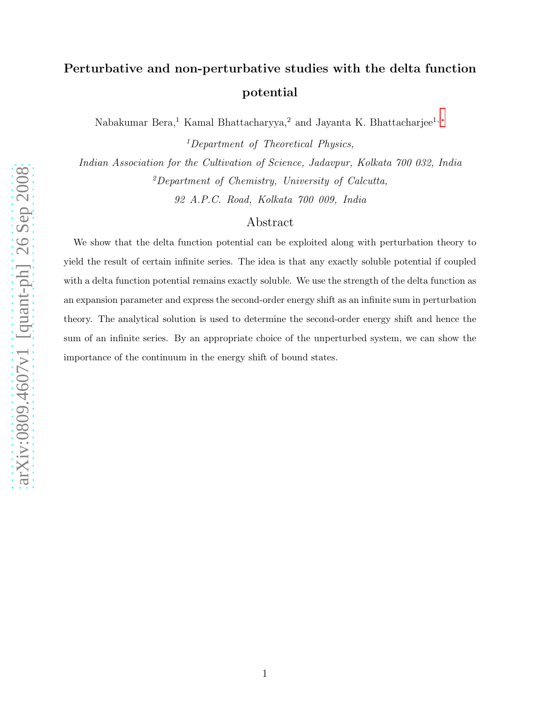# Perturbative and non-perturbative studies with the delta function potential

Nabakumar Bera,<sup>1</sup> Kamal Bhattacharyya,<sup>2</sup> and Jayanta K. Bhattacharjee<sup>1, [∗](#page-14-0)</sup>

<sup>1</sup>Department of Theoretical Physics,

Indian Association for the Cultivation of Science, Jadavpur, Kolkata 700 032, India  ${}^{2}$ Department of Chemistry, University of Calcutta,

92 A.P.C. Road, Kolkata 700 009, India

# Abstract

We show that the delta function potential can be exploited along with perturbation theory to yield the result of certain infinite series. The idea is that any exactly soluble potential if coupled with a delta function potential remains exactly soluble. We use the strength of the delta function as an expansion parameter and express the second-order energy shift as an infinite sum in perturbation theory. The analytical solution is used to determine the second-order energy shift and hence the sum of an infinite series. By an appropriate choice of the unperturbed system, we can show the importance of the continuum in the energy shift of bound states.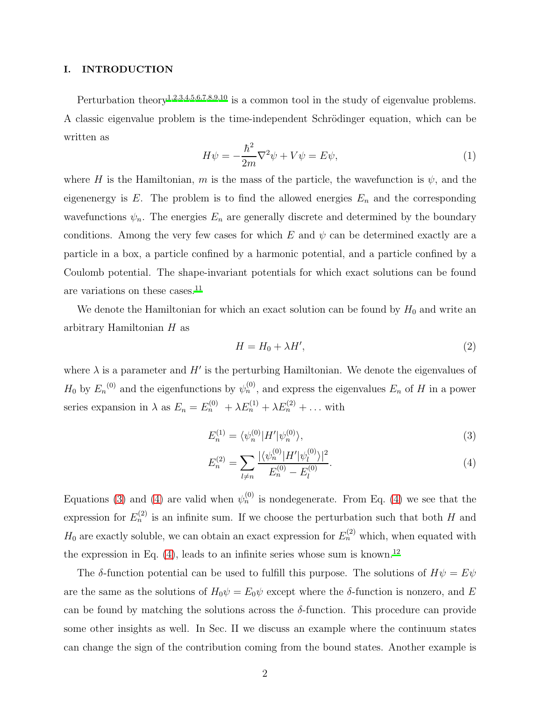#### I. INTRODUCTION

Perturbation theory<sup>[1](#page-14-1)[,2](#page-14-2)[,3](#page-14-3)[,4](#page-14-4)[,5](#page-14-5)[,6](#page-14-6)[,7](#page-14-7)[,8](#page-15-0)[,9](#page-15-1)[,10](#page-15-2)</sup> is a common tool in the study of eigenvalue problems. A classic eigenvalue problem is the time-independent Schrödinger equation, which can be written as

<span id="page-1-2"></span>
$$
H\psi = -\frac{\hbar^2}{2m}\nabla^2\psi + V\psi = E\psi,
$$
\n(1)

where H is the Hamiltonian, m is the mass of the particle, the wavefunction is  $\psi$ , and the eigenenergy is E. The problem is to find the allowed energies  $E_n$  and the corresponding wavefunctions  $\psi_n$ . The energies  $E_n$  are generally discrete and determined by the boundary conditions. Among the very few cases for which  $E$  and  $\psi$  can be determined exactly are a particle in a box, a particle confined by a harmonic potential, and a particle confined by a Coulomb potential. The shape-invariant potentials for which exact solutions can be found are variations on these cases.<sup>[11](#page-15-3)</sup>

We denote the Hamiltonian for which an exact solution can be found by  $H_0$  and write an arbitrary Hamiltonian H as

<span id="page-1-1"></span><span id="page-1-0"></span>
$$
H = H_0 + \lambda H',\tag{2}
$$

where  $\lambda$  is a parameter and H' is the perturbing Hamiltonian. We denote the eigenvalues of  $H_0$  by  $E_n^{(0)}$  and the eigenfunctions by  $\psi_n^{(0)}$ , and express the eigenvalues  $E_n$  of H in a power series expansion in  $\lambda$  as  $E_n = E_n^{(0)} + \lambda E_n^{(1)} + \lambda E_n^{(2)} + \dots$  with

$$
E_n^{(1)} = \langle \psi_n^{(0)} | H' | \psi_n^{(0)} \rangle,\tag{3}
$$

$$
E_n^{(2)} = \sum_{l \neq n} \frac{|\langle \psi_n^{(0)} | H' | \psi_l^{(0)} \rangle|^2}{E_n^{(0)} - E_l^{(0)}}.
$$
\n(4)

Equations [\(3\)](#page-1-0) and [\(4\)](#page-1-1) are valid when  $\psi_n^{(0)}$  is nondegenerate. From Eq. (4) we see that the expression for  $E_n^{(2)}$  is an infinite sum. If we choose the perturbation such that both H and  $H_0$  are exactly soluble, we can obtain an exact expression for  $E_n^{(2)}$  which, when equated with the expression in Eq.  $(4)$ , leads to an infinite series whose sum is known.<sup>[12](#page-15-4)</sup>

The δ-function potential can be used to fulfill this purpose. The solutions of  $H\psi = E\psi$ are the same as the solutions of  $H_0\psi = E_0\psi$  except where the  $\delta$ -function is nonzero, and E can be found by matching the solutions across the  $\delta$ -function. This procedure can provide some other insights as well. In Sec. II we discuss an example where the continuum states can change the sign of the contribution coming from the bound states. Another example is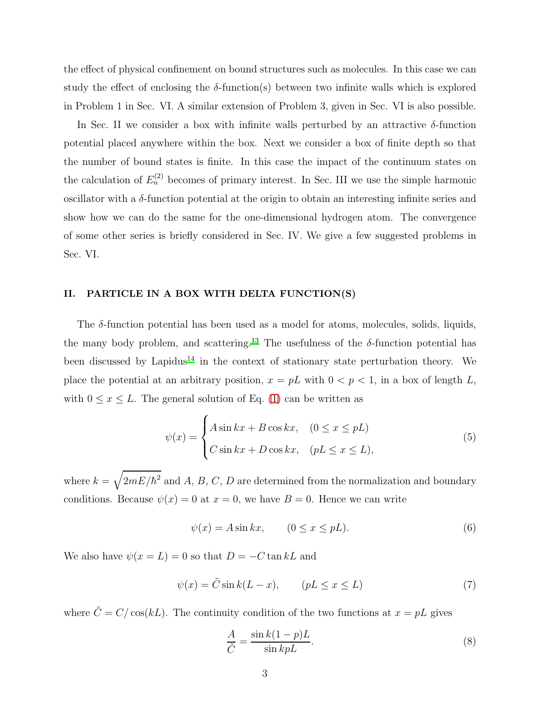the effect of physical confinement on bound structures such as molecules. In this case we can study the effect of enclosing the  $\delta$ -function(s) between two infinite walls which is explored in Problem 1 in Sec. VI. A similar extension of Problem 3, given in Sec. VI is also possible.

In Sec. II we consider a box with infinite walls perturbed by an attractive  $\delta$ -function potential placed anywhere within the box. Next we consider a box of finite depth so that the number of bound states is finite. In this case the impact of the continuum states on the calculation of  $E_n^{(2)}$  becomes of primary interest. In Sec. III we use the simple harmonic oscillator with a  $\delta$ -function potential at the origin to obtain an interesting infinite series and show how we can do the same for the one-dimensional hydrogen atom. The convergence of some other series is briefly considered in Sec. IV. We give a few suggested problems in Sec. VI.

## II. PARTICLE IN A BOX WITH DELTA FUNCTION(S)

The  $\delta$ -function potential has been used as a model for atoms, molecules, solids, liquids, the many body problem, and scattering.<sup>[13](#page-15-5)</sup> The usefulness of the  $\delta$ -function potential has been discussed by Lapidus<sup>[14](#page-15-6)</sup> in the context of stationary state perturbation theory. We place the potential at an arbitrary position,  $x = pL$  with  $0 < p < 1$ , in a box of length L, with  $0 \le x \le L$ . The general solution of Eq. [\(1\)](#page-1-2) can be written as

$$
\psi(x) = \begin{cases} A\sin kx + B\cos kx, & (0 \le x \le pL) \\ C\sin kx + D\cos kx, & (pL \le x \le L), \end{cases}
$$
\n(5)

where  $k = \sqrt{2mE/\hbar^2}$  and A, B, C, D are determined from the normalization and boundary conditions. Because  $\psi(x) = 0$  at  $x = 0$ , we have  $B = 0$ . Hence we can write

$$
\psi(x) = A \sin kx, \qquad (0 \le x \le pL). \tag{6}
$$

We also have  $\psi(x=L) = 0$  so that  $D = -C \tan kL$  and

$$
\psi(x) = \tilde{C} \sin k(L - x), \qquad (pL \le x \le L)
$$
\n(7)

where  $\tilde{C} = C/\cos(kL)$ . The continuity condition of the two functions at  $x = pL$  gives

<span id="page-2-0"></span>
$$
\frac{A}{\tilde{C}} = \frac{\sin k(1-p)L}{\sin kpL}.
$$
\n(8)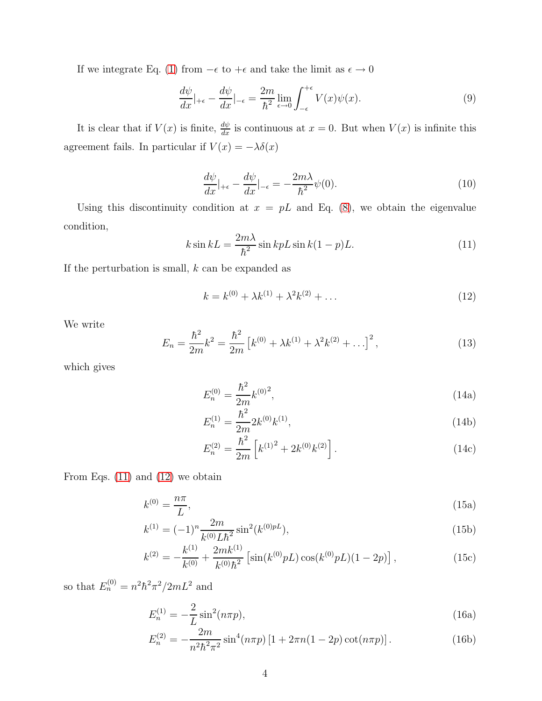If we integrate Eq. [\(1\)](#page-1-2) from  $-\epsilon$  to  $+\epsilon$  and take the limit as  $\epsilon \to 0$ 

$$
\frac{d\psi}{dx}|_{+\epsilon} - \frac{d\psi}{dx}|_{-\epsilon} = \frac{2m}{\hbar^2} \lim_{\epsilon \to 0} \int_{-\epsilon}^{+\epsilon} V(x)\psi(x). \tag{9}
$$

It is clear that if  $V(x)$  is finite,  $\frac{d\psi}{dx}$  is continuous at  $x = 0$ . But when  $V(x)$  is infinite this agreement fails. In particular if  $V(x) = -\lambda \delta(x)$ 

$$
\frac{d\psi}{dx}|_{+\epsilon} - \frac{d\psi}{dx}|_{-\epsilon} = -\frac{2m\lambda}{\hbar^2}\psi(0). \tag{10}
$$

Using this discontinuity condition at  $x = pL$  and Eq. [\(8\)](#page-2-0), we obtain the eigenvalue condition,

<span id="page-3-0"></span>
$$
k\sin kL = \frac{2m\lambda}{\hbar^2}\sin kpL\sin k(1-p)L.
$$
 (11)

If the perturbation is small,  $k$  can be expanded as

<span id="page-3-1"></span>
$$
k = k^{(0)} + \lambda k^{(1)} + \lambda^2 k^{(2)} + \dots \tag{12}
$$

We write

$$
E_n = \frac{\hbar^2}{2m}k^2 = \frac{\hbar^2}{2m} \left[ k^{(0)} + \lambda k^{(1)} + \lambda^2 k^{(2)} + \ldots \right]^2, \tag{13}
$$

which gives

$$
E_n^{(0)} = \frac{\hbar^2}{2m} k^{(0)^2},\tag{14a}
$$

$$
E_n^{(1)} = \frac{\hbar^2}{2m} 2k^{(0)} k^{(1)},\tag{14b}
$$

$$
E_n^{(2)} = \frac{\hbar^2}{2m} \left[ k^{(1)^2} + 2k^{(0)}k^{(2)} \right].
$$
 (14c)

From Eqs.  $(11)$  and  $(12)$  we obtain

$$
k^{(0)} = \frac{n\pi}{L},\tag{15a}
$$

$$
k^{(1)} = (-1)^n \frac{2m}{k^{(0)} L \hbar^2} \sin^2(k^{(0)pL}), \tag{15b}
$$

$$
k^{(2)} = -\frac{k^{(1)}}{k^{(0)}} + \frac{2mk^{(1)}}{k^{(0)}\hbar^2} \left[ \sin(k^{(0)}pL)\cos(k^{(0)}pL)(1-2p) \right],\tag{15c}
$$

so that  $E_n^{(0)} = n^2 \hbar^2 \pi^2 / 2mL^2$  and

$$
E_n^{(1)} = -\frac{2}{L} \sin^2(n\pi p),\tag{16a}
$$

$$
E_n^{(2)} = -\frac{2m}{n^2\hbar^2\pi^2} \sin^4(n\pi p) \left[1 + 2\pi n(1 - 2p)\cot(n\pi p)\right].\tag{16b}
$$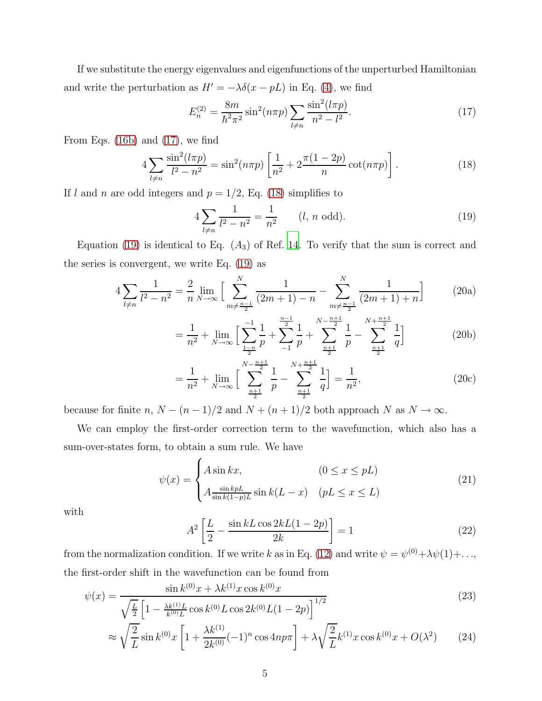If we substitute the energy eigenvalues and eigenfunctions of the unperturbed Hamiltonian and write the perturbation as  $H' = -\lambda \delta(x - pL)$  in Eq. [\(4\)](#page-1-1), we find

<span id="page-4-0"></span>
$$
E_n^{(2)} = \frac{8m}{\hbar^2 \pi^2} \sin^2(n\pi p) \sum_{l \neq n} \frac{\sin^2(l\pi p)}{n^2 - l^2}.
$$
 (17)

From Eqs. [\(16b\)](#page-7-0) and [\(17\)](#page-4-0), we find

<span id="page-4-1"></span>
$$
4\sum_{l\neq n} \frac{\sin^2(l\pi p)}{l^2 - n^2} = \sin^2(n\pi p) \left[ \frac{1}{n^2} + 2\frac{\pi(1 - 2p)}{n} \cot(n\pi p) \right].
$$
 (18)

If l and n are odd integers and  $p = 1/2$ , Eq. [\(18\)](#page-4-1) simplifies to

<span id="page-4-3"></span><span id="page-4-2"></span>
$$
4\sum_{l\neq n}\frac{1}{l^2 - n^2} = \frac{1}{n^2} \qquad (l, n \text{ odd}).
$$
 (19)

Equation [\(19\)](#page-4-2) is identical to Eq.  $(A_3)$  of Ref. [14](#page-15-6). To verify that the sum is correct and the series is convergent, we write Eq. [\(19\)](#page-4-2) as

$$
4\sum_{l\neq n} \frac{1}{l^2 - n^2} = \frac{2}{n} \lim_{N \to \infty} \left[ \sum_{m \neq \frac{n-1}{2}}^N \frac{1}{(2m+1) - n} - \sum_{m \neq \frac{n-1}{2}}^N \frac{1}{(2m+1) + n} \right]
$$
(20a)

$$
= \frac{1}{n^2} + \lim_{N \to \infty} \left[ \sum_{\frac{1-n}{2}}^{-1} \frac{1}{p} + \sum_{-1}^{\frac{n-1}{2}} \frac{1}{p} + \sum_{\frac{n+1}{2}}^{\frac{N-\frac{n+1}{2}}{2}} \frac{1}{p} - \sum_{\frac{n+1}{2}}^{\frac{N+\frac{n+1}{2}}{2}} \frac{1}{q} \right]
$$
(20b)

$$
= \frac{1}{n^2} + \lim_{N \to \infty} \left[ \sum_{\frac{n+1}{2}}^{N - \frac{n+1}{2}} \frac{1}{p} - \sum_{\frac{n+1}{2}}^{N + \frac{n+1}{2}} \frac{1}{q} \right] = \frac{1}{n^2},\tag{20c}
$$

because for finite n,  $N - (n - 1)/2$  and  $N + (n + 1)/2$  both approach N as  $N \to \infty$ .

We can employ the first-order correction term to the wavefunction, which also has a sum-over-states form, to obtain a sum rule. We have

$$
\psi(x) = \begin{cases} A \sin kx, & (0 \le x \le pL) \\ A \frac{\sin k pL}{\sin k(1-p)L} \sin k(L-x) & (pL \le x \le L) \end{cases}
$$
\n(21)

with

$$
A^{2}\left[\frac{L}{2} - \frac{\sin kL \cos 2kL(1-2p)}{2k}\right] = 1
$$
\n(22)

from the normalization condition. If we write k as in Eq. [\(12\)](#page-3-1) and write  $\psi = \psi^{(0)} + \lambda \psi(1) + ...$ the first-order shift in the wavefunction can be found from

$$
\psi(x) = \frac{\sin k^{(0)}x + \lambda k^{(1)}x \cos k^{(0)}x}{\sqrt{\frac{L}{2}} \left[1 - \frac{\lambda k^{(1)}L}{k^{(0)}L} \cos k^{(0)}L \cos 2k^{(0)}L(1-2p)\right]^{1/2}}
$$
\n(23)

$$
\approx \sqrt{\frac{2}{L}} \sin k^{(0)} x \left[ 1 + \frac{\lambda k^{(1)}}{2k^{(0)}} (-1)^n \cos 4np\pi \right] + \lambda \sqrt{\frac{2}{L}} k^{(1)} x \cos k^{(0)} x + O(\lambda^2) \tag{24}
$$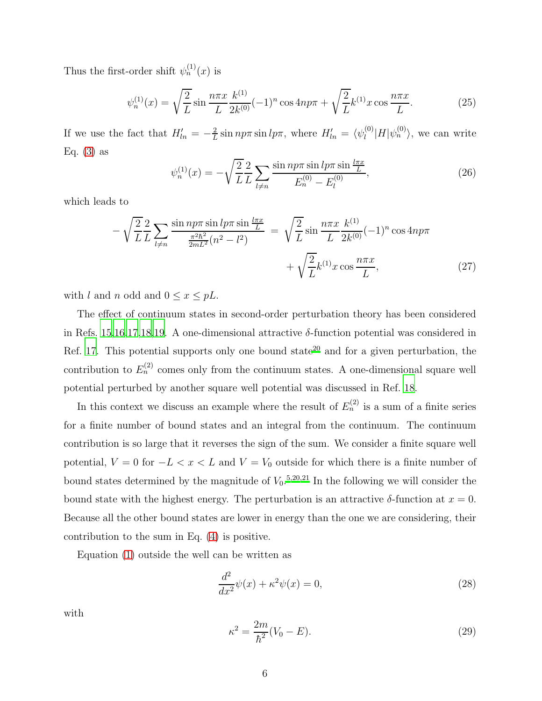Thus the first-order shift  $\psi_n^{(1)}(x)$  is

$$
\psi_n^{(1)}(x) = \sqrt{\frac{2}{L}} \sin \frac{n\pi x}{L} \frac{k^{(1)}}{2k^{(0)}} (-1)^n \cos 4n p\pi + \sqrt{\frac{2}{L}} k^{(1)} x \cos \frac{n\pi x}{L}.
$$
 (25)

If we use the fact that  $H'_{ln} = -\frac{2}{L}$  $\frac{2}{L} \sin np\pi \sin l\pi$ , where  $H'_{ln} = \langle \psi_l^{(0)} \rangle$  $\binom{0}{l}$   $H|\psi_n^{(0)}\rangle$ , we can write Eq.  $(3)$  as

$$
\psi_n^{(1)}(x) = -\sqrt{\frac{2}{L}} \frac{2}{L} \sum_{l \neq n} \frac{\sin n p \pi \sin l p \pi \sin \frac{l \pi x}{L}}{E_n^{(0)} - E_l^{(0)}},\tag{26}
$$

which leads to

<span id="page-5-0"></span>
$$
-\sqrt{\frac{2}{L}}\frac{2}{L}\sum_{l\neq n}\frac{\sin np\pi \sin lp\pi \sin \frac{l\pi x}{L}}{\frac{\pi^2 \hbar^2}{2mL^2}(n^2 - l^2)} = \sqrt{\frac{2}{L}}\sin \frac{n\pi x}{L}\frac{k^{(1)}}{2k^{(0)}}(-1)^n \cos 4np\pi + \sqrt{\frac{2}{L}}k^{(1)}x \cos \frac{n\pi x}{L},
$$
\n(27)

with l and n odd and  $0 \le x \le pL$ .

The effect of continuum states in second-order perturbation theory has been considered in Refs. [15](#page-15-7)[,16](#page-15-8)[,17](#page-15-9)[,18](#page-15-10)[,19.](#page-15-11) A one-dimensional attractive  $\delta$ -function potential was considered in Ref. [17.](#page-15-9) This potential supports only one bound state<sup>[20](#page-15-12)</sup> and for a given perturbation, the contribution to  $E_n^{(2)}$  comes only from the continuum states. A one-dimensional square well potential perturbed by another square well potential was discussed in Ref. [18.](#page-15-10)

In this context we discuss an example where the result of  $E_n^{(2)}$  is a sum of a finite series for a finite number of bound states and an integral from the continuum. The continuum contribution is so large that it reverses the sign of the sum. We consider a finite square well potential,  $V = 0$  for  $-L < x < L$  and  $V = V_0$  outside for which there is a finite number of bound states determined by the magnitude of  $V_0$ .<sup>[5](#page-14-5)[,20](#page-15-12)[,21](#page-15-13)</sup> In the following we will consider the bound state with the highest energy. The perturbation is an attractive  $\delta$ -function at  $x = 0$ . Because all the other bound states are lower in energy than the one we are considering, their contribution to the sum in Eq. [\(4\)](#page-1-1) is positive.

Equation [\(1\)](#page-1-2) outside the well can be written as

$$
\frac{d^2}{dx^2}\psi(x) + \kappa^2\psi(x) = 0,
$$
\n(28)

with

$$
\kappa^2 = \frac{2m}{\hbar^2} (V_0 - E). \tag{29}
$$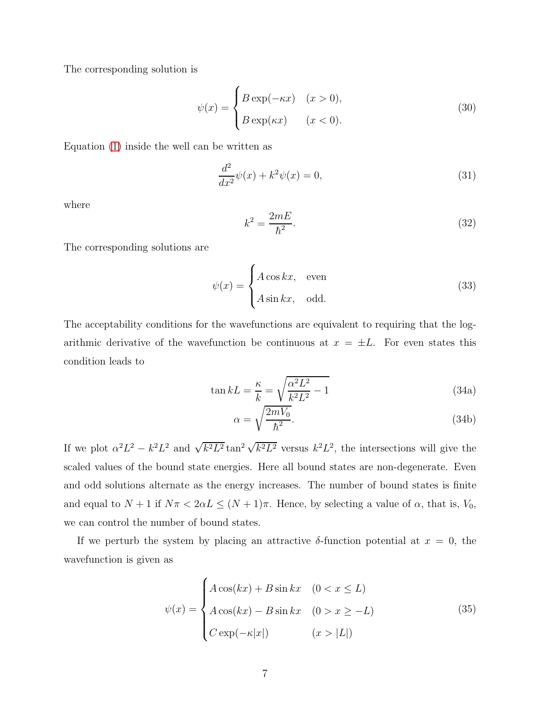The corresponding solution is

$$
\psi(x) = \begin{cases} B \exp(-\kappa x) & (x > 0), \\ B \exp(\kappa x) & (x < 0). \end{cases}
$$
\n(30)

Equation [\(1\)](#page-1-2) inside the well can be written as

$$
\frac{d^2}{dx^2}\psi(x) + k^2\psi(x) = 0,
$$
\n(31)

where

$$
k^2 = \frac{2mE}{\hbar^2}.\tag{32}
$$

The corresponding solutions are

$$
\psi(x) = \begin{cases} A\cos kx, & \text{even} \\ A\sin kx, & \text{odd.} \end{cases}
$$
\n(33)

The acceptability conditions for the wavefunctions are equivalent to requiring that the logarithmic derivative of the wavefunction be continuous at  $x = \pm L$ . For even states this condition leads to

$$
\tan kL = \frac{\kappa}{k} = \sqrt{\frac{\alpha^2 L^2}{k^2 L^2} - 1}
$$
\n(34a)

$$
\alpha = \sqrt{\frac{2mV_0}{\hbar^2}}.\tag{34b}
$$

If we plot  $\alpha^2 L^2 - k^2 L^2$  and  $\sqrt{k^2 L^2} \tan^2 \sqrt{k^2 L^2}$  versus  $k^2 L^2$ , the intersections will give the scaled values of the bound state energies. Here all bound states are non-degenerate. Even and odd solutions alternate as the energy increases. The number of bound states is finite and equal to  $N + 1$  if  $N\pi < 2\alpha L \leq (N + 1)\pi$ . Hence, by selecting a value of  $\alpha$ , that is,  $V_0$ , we can control the number of bound states.

If we perturb the system by placing an attractive  $\delta$ -function potential at  $x = 0$ , the wavefunction is given as

<span id="page-6-0"></span>
$$
\psi(x) = \begin{cases}\nA\cos(kx) + B\sin kx & (0 < x \le L) \\
A\cos(kx) - B\sin kx & (0 > x \ge -L) \\
C\exp(-\kappa|x|) & (x > |L|)\n\end{cases}
$$
\n(35)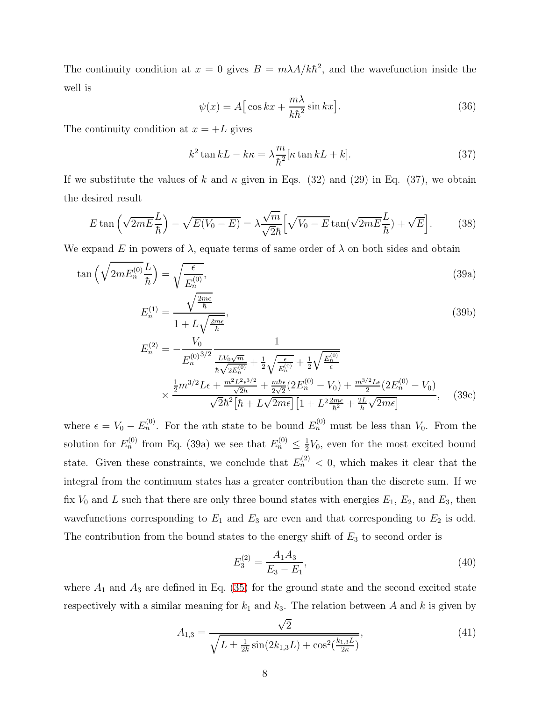The continuity condition at  $x = 0$  gives  $B = m\lambda A/k\hbar^2$ , and the wavefunction inside the well is

$$
\psi(x) = A \left[ \cos kx + \frac{m\lambda}{k\hbar^2} \sin kx \right].
$$
\n(36)

The continuity condition at  $x = +L$  gives

<span id="page-7-0"></span>
$$
k^{2} \tan kL - k\kappa = \lambda \frac{m}{\hbar^{2}} [\kappa \tan kL + k]. \tag{37}
$$

If we substitute the values of k and  $\kappa$  given in Eqs. (32) and (29) in Eq. (37), we obtain the desired result

$$
E \tan\left(\sqrt{2mE\frac{L}{\hbar}}\right) - \sqrt{E(V_0 - E)} = \lambda \frac{\sqrt{m}}{\sqrt{2\hbar}} \left[ \sqrt{V_0 - E} \tan(\sqrt{2mE\frac{L}{\hbar}}) + \sqrt{E} \right]. \tag{38}
$$

We expand E in powers of  $\lambda$ , equate terms of same order of  $\lambda$  on both sides and obtain

$$
\tan\left(\sqrt{2mE_n^{(0)}}\frac{L}{\hbar}\right) = \sqrt{\frac{\epsilon}{E_n^{(0)}}},\tag{39a}
$$

$$
E_n^{(1)} = \frac{\sqrt{\frac{2m\epsilon}{\hbar}}}{1 + L\sqrt{\frac{2m\epsilon}{\hbar}}},\tag{39b}
$$

$$
E_n^{(2)} = -\frac{V_0}{E_n^{(0)^{3/2}}} \frac{1}{\frac{LV_0\sqrt{m}}{\hbar\sqrt{2E_n^{(0)}}} + \frac{1}{2}\sqrt{\frac{\epsilon}{E_n^{(0)}}} + \frac{1}{2}\sqrt{\frac{E_n^{(0)}}{\epsilon}}}
$$
  
 
$$
\times \frac{\frac{1}{2}m^{3/2}L\epsilon + \frac{m^2L^2\epsilon^{3/2}}{\sqrt{2}\hbar} + \frac{m\hbar\epsilon}{2\sqrt{2}}(2E_n^{(0)} - V_0) + \frac{m^{3/2}L\epsilon}{2}(2E_n^{(0)} - V_0)}{\sqrt{2}\hbar^2[\hbar + L\sqrt{2m\epsilon}][1 + L^2\frac{2m\epsilon}{\hbar^2} + \frac{2L}{\hbar}\sqrt{2m\epsilon}]}, \quad (39c)
$$

where  $\epsilon = V_0 - E_n^{(0)}$ . For the *n*th state to be bound  $E_n^{(0)}$  must be less than  $V_0$ . From the solution for  $E_n^{(0)}$  from Eq. (39a) we see that  $E_n^{(0)} \leq \frac{1}{2}$  $\frac{1}{2}V_0$ , even for the most excited bound state. Given these constraints, we conclude that  $E_n^{(2)} < 0$ , which makes it clear that the integral from the continuum states has a greater contribution than the discrete sum. If we fix  $V_0$  and L such that there are only three bound states with energies  $E_1$ ,  $E_2$ , and  $E_3$ , then wavefunctions corresponding to  $E_1$  and  $E_3$  are even and that corresponding to  $E_2$  is odd. The contribution from the bound states to the energy shift of  $E_3$  to second order is

<span id="page-7-1"></span>
$$
E_3^{(2)} = \frac{A_1 A_3}{E_3 - E_1},\tag{40}
$$

where  $A_1$  and  $A_3$  are defined in Eq. [\(35\)](#page-6-0) for the ground state and the second excited state respectively with a similar meaning for  $k_1$  and  $k_3$ . The relation between A and k is given by

$$
A_{1,3} = \frac{\sqrt{2}}{\sqrt{L \pm \frac{1}{2k} \sin(2k_{1,3}L) + \cos^2(\frac{k_{1,3}L}{2\kappa})}},\tag{41}
$$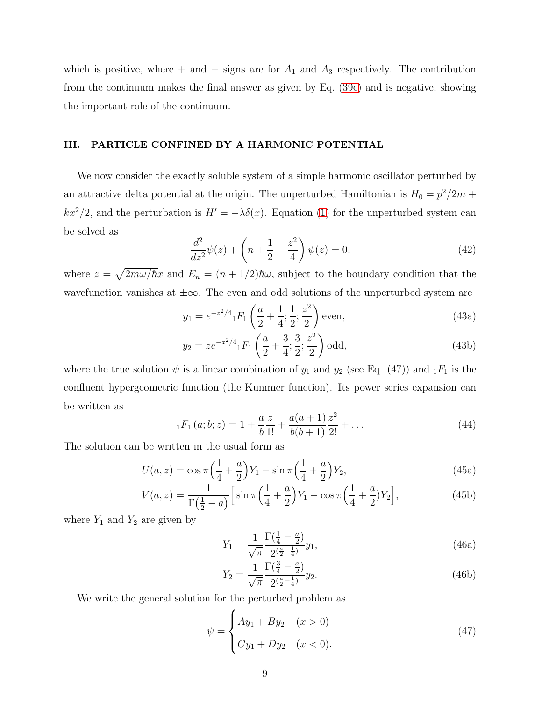which is positive, where + and  $-$  signs are for  $A_1$  and  $A_3$  respectively. The contribution from the continuum makes the final answer as given by Eq. [\(39c\)](#page-7-1) and is negative, showing the important role of the continuum.

#### III. PARTICLE CONFINED BY A HARMONIC POTENTIAL

We now consider the exactly soluble system of a simple harmonic oscillator perturbed by an attractive delta potential at the origin. The unperturbed Hamiltonian is  $H_0 = p^2/2m$  +  $kx^2/2$ , and the perturbation is  $H' = -\lambda \delta(x)$ . Equation [\(1\)](#page-1-2) for the unperturbed system can be solved as

$$
\frac{d^2}{dz^2}\psi(z) + \left(n + \frac{1}{2} - \frac{z^2}{4}\right)\psi(z) = 0,
$$
\n(42)

where  $z = \sqrt{2m\omega/\hbar}x$  and  $E_n = (n + 1/2)\hbar\omega$ , subject to the boundary condition that the wavefunction vanishes at  $\pm \infty$ . The even and odd solutions of the unperturbed system are

$$
y_1 = e^{-z^2/4} {}_1F_1\left(\frac{a}{2} + \frac{1}{4}; \frac{1}{2}; \frac{z^2}{2}\right)
$$
 even, (43a)

$$
y_2 = z e^{-z^2/4} {}_1F_1\left(\frac{a}{2} + \frac{3}{4}; \frac{3}{2}; \frac{z^2}{2}\right)
$$
odd, (43b)

where the true solution  $\psi$  is a linear combination of  $y_1$  and  $y_2$  (see Eq. (47)) and  $_1F_1$  is the confluent hypergeometric function (the Kummer function). Its power series expansion can be written as

$$
{}_{1}F_{1}(a;b;z) = 1 + \frac{a}{b}\frac{z}{1!} + \frac{a(a+1)}{b(b+1)}\frac{z^{2}}{2!} + \dots
$$
\n(44)

The solution can be written in the usual form as

$$
U(a, z) = \cos \pi \left(\frac{1}{4} + \frac{a}{2}\right) Y_1 - \sin \pi \left(\frac{1}{4} + \frac{a}{2}\right) Y_2,\tag{45a}
$$

$$
V(a,z) = \frac{1}{\Gamma(\frac{1}{2} - a)} \Big[ \sin \pi \Big( \frac{1}{4} + \frac{a}{2} \Big) Y_1 - \cos \pi \Big( \frac{1}{4} + \frac{a}{2} \Big) Y_2 \Big], \tag{45b}
$$

where  $Y_1$  and  $Y_2$  are given by

$$
Y_1 = \frac{1}{\sqrt{\pi}} \frac{\Gamma(\frac{1}{4} - \frac{a}{2})}{2^{\left(\frac{a}{2} + \frac{1}{4}\right)}} y_1,\tag{46a}
$$

$$
Y_2 = \frac{1}{\sqrt{\pi}} \frac{\Gamma(\frac{3}{4} - \frac{a}{2})}{2^{\left(\frac{a}{2} + \frac{1}{4}\right)}} y_2.
$$
\n(46b)

We write the general solution for the perturbed problem as

$$
\psi = \begin{cases} Ay_1 + By_2 & (x > 0) \\ Cy_1 + Dy_2 & (x < 0). \end{cases}
$$
\n(47)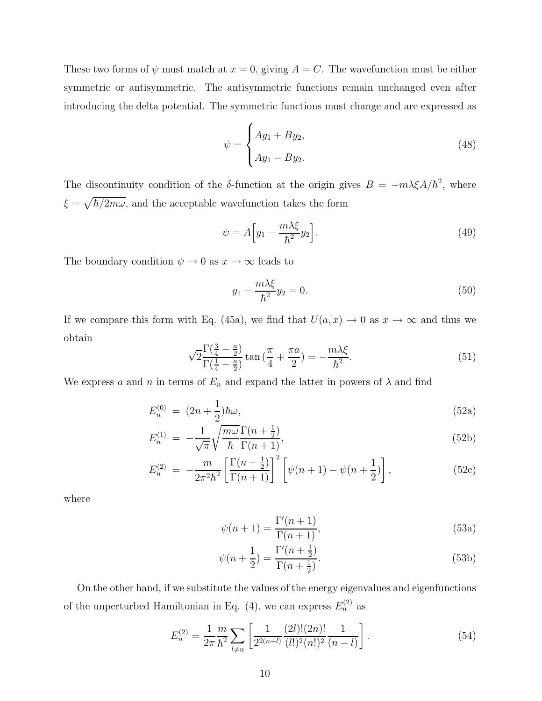These two forms of  $\psi$  must match at  $x = 0$ , giving  $A = C$ . The wavefunction must be either symmetric or antisymmetric. The antisymmetric functions remain unchanged even after introducing the delta potential. The symmetric functions must change and are expressed as

$$
\psi = \begin{cases} Ay_1 + By_2, \\ Ay_1 - By_2. \end{cases}
$$
 (48)

The discontinuity condition of the  $\delta$ -function at the origin gives  $B = -m\lambda \xi A/\hbar^2$ , where  $\xi = \sqrt{\hbar/2m\omega}$ , and the acceptable wavefunction takes the form

$$
\psi = A \Big[ y_1 - \frac{m\lambda \xi}{\hbar^2} y_2 \Big]. \tag{49}
$$

The boundary condition  $\psi \to 0$  as  $x \to \infty$  leads to

$$
y_1 - \frac{m\lambda\xi}{\hbar^2}y_2 = 0.\tag{50}
$$

If we compare this form with Eq. (45a), we find that  $U(a, x) \rightarrow 0$  as  $x \rightarrow \infty$  and thus we obtain

$$
\sqrt{2} \frac{\Gamma(\frac{3}{4} - \frac{a}{2})}{\Gamma(\frac{1}{4} - \frac{a}{2})} \tan\left(\frac{\pi}{4} + \frac{\pi a}{2}\right) = -\frac{m\lambda\xi}{\hbar^2}.
$$
\n<sup>(51)</sup>

We express a and n in terms of  $E_n$  and expand the latter in powers of  $\lambda$  and find

$$
E_n^{(0)} = (2n + \frac{1}{2})\hbar\omega,\tag{52a}
$$

$$
E_n^{(1)} = -\frac{1}{\sqrt{\pi}} \sqrt{\frac{m\omega}{\hbar}} \frac{\Gamma(n + \frac{1}{2})}{\Gamma(n + 1)},
$$
\n(52b)

$$
E_n^{(2)} = -\frac{m}{2\pi^2\hbar^2} \left[ \frac{\Gamma(n+\frac{1}{2})}{\Gamma(n+1)} \right]^2 \left[ \psi(n+1) - \psi(n+\frac{1}{2}) \right],\tag{52c}
$$

where

$$
\psi(n+1) = \frac{\Gamma'(n+1)}{\Gamma(n+1)},\tag{53a}
$$

$$
\psi(n + \frac{1}{2}) = \frac{\Gamma'(n + \frac{1}{2})}{\Gamma(n + \frac{1}{2})}.
$$
\n(53b)

On the other hand, if we substitute the values of the energy eigenvalues and eigenfunctions of the unperturbed Hamiltonian in Eq. (4), we can express  $E_n^{(2)}$  as

<span id="page-9-0"></span>
$$
E_n^{(2)} = \frac{1}{2\pi} \frac{m}{\hbar^2} \sum_{l \neq n} \left[ \frac{1}{2^{2(n+l)}} \frac{(2l)!(2n)!}{(l!)^2 (n!)^2} \frac{1}{(n-l)} \right].
$$
 (54)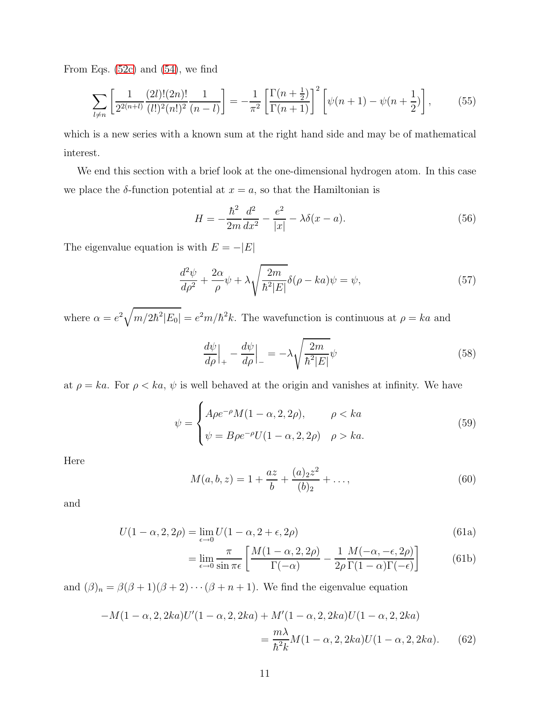From Eqs. [\(52c\)](#page-10-0) and [\(54\)](#page-9-0), we find

$$
\sum_{l \neq n} \left[ \frac{1}{2^{2(n+l)}} \frac{(2l)!(2n)!}{(l!)^2 (n!)^2} \frac{1}{(n-l)} \right] = -\frac{1}{\pi^2} \left[ \frac{\Gamma(n+\frac{1}{2})}{\Gamma(n+1)} \right]^2 \left[ \psi(n+1) - \psi(n+\frac{1}{2}) \right],\tag{55}
$$

which is a new series with a known sum at the right hand side and may be of mathematical interest.

We end this section with a brief look at the one-dimensional hydrogen atom. In this case we place the  $\delta$ -function potential at  $x = a$ , so that the Hamiltonian is

$$
H = -\frac{\hbar^2}{2m}\frac{d^2}{dx^2} - \frac{e^2}{|x|} - \lambda \delta(x - a).
$$
 (56)

The eigenvalue equation is with  $E = -\vert E \vert$ 

$$
\frac{d^2\psi}{d\rho^2} + \frac{2\alpha}{\rho}\psi + \lambda \sqrt{\frac{2m}{\hbar^2|E|}}\delta(\rho - ka)\psi = \psi,\tag{57}
$$

where  $\alpha = e^2 \sqrt{m/2\hbar^2 |E_0|} = e^2 m/\hbar^2 k$ . The wavefunction is continuous at  $\rho = ka$  and

$$
\frac{d\psi}{d\rho}\Big|_{+} - \frac{d\psi}{d\rho}\Big|_{-} = -\lambda \sqrt{\frac{2m}{\hbar^2|E|}}\psi\tag{58}
$$

at  $\rho = ka$ . For  $\rho < ka$ ,  $\psi$  is well behaved at the origin and vanishes at infinity. We have

$$
\psi = \begin{cases} A\rho e^{-\rho}M(1-\alpha,2,2\rho), & \rho < ka \\ \psi = B\rho e^{-\rho}U(1-\alpha,2,2\rho) & \rho > ka. \end{cases}
$$
(59)

Here

<span id="page-10-0"></span>
$$
M(a, b, z) = 1 + \frac{az}{b} + \frac{(a)_2 z^2}{(b)_2} + \dots,
$$
\n(60)

and

$$
U(1-\alpha, 2, 2\rho) = \lim_{\epsilon \to 0} U(1-\alpha, 2+\epsilon, 2\rho)
$$
\n(61a)

$$
= \lim_{\epsilon \to 0} \frac{\pi}{\sin \pi \epsilon} \left[ \frac{M(1 - \alpha, 2, 2\rho)}{\Gamma(-\alpha)} - \frac{1}{2\rho} \frac{M(-\alpha, -\epsilon, 2\rho)}{\Gamma(1 - \alpha)\Gamma(-\epsilon)} \right]
$$
(61b)

and  $(\beta)_n = \beta(\beta + 1)(\beta + 2) \cdots (\beta + n + 1)$ . We find the eigenvalue equation

$$
-M(1-\alpha, 2, 2ka)U'(1-\alpha, 2, 2ka) + M'(1-\alpha, 2, 2ka)U(1-\alpha, 2, 2ka)
$$

$$
= \frac{m\lambda}{\hbar^2 k}M(1-\alpha, 2, 2ka)U(1-\alpha, 2, 2ka). \tag{62}
$$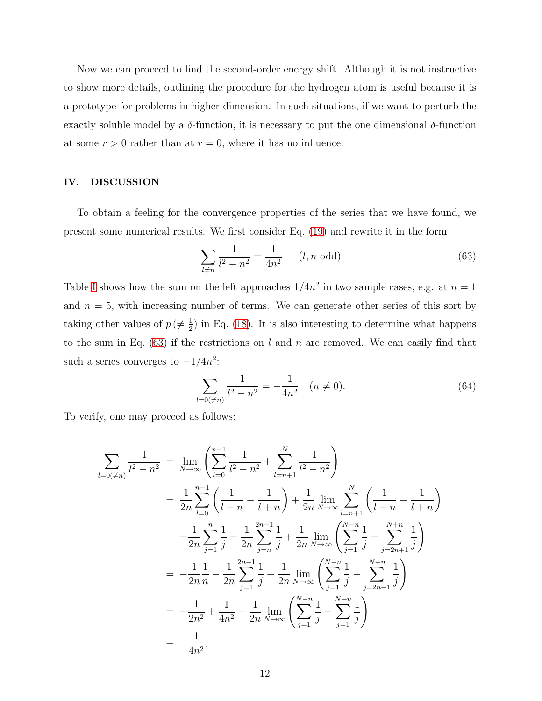Now we can proceed to find the second-order energy shift. Although it is not instructive to show more details, outlining the procedure for the hydrogen atom is useful because it is a prototype for problems in higher dimension. In such situations, if we want to perturb the exactly soluble model by a  $\delta$ -function, it is necessary to put the one dimensional  $\delta$ -function at some  $r > 0$  rather than at  $r = 0$ , where it has no influence.

#### IV. DISCUSSION

To obtain a feeling for the convergence properties of the series that we have found, we present some numerical results. We first consider Eq. [\(19\)](#page-4-2) and rewrite it in the form

<span id="page-11-0"></span>
$$
\sum_{l \neq n} \frac{1}{l^2 - n^2} = \frac{1}{4n^2} \qquad (l, n \text{ odd})
$$
\n(63)

Table [I](#page-17-0) shows how the sum on the left approaches  $1/4n^2$  in two sample cases, e.g. at  $n=1$ and  $n = 5$ , with increasing number of terms. We can generate other series of this sort by taking other values of  $p \neq \frac{1}{2}$  $\frac{1}{2}$  in Eq. [\(18\)](#page-4-1). It is also interesting to determine what happens to the sum in Eq.  $(63)$  if the restrictions on l and n are removed. We can easily find that such a series converges to  $-1/4n^2$ :

$$
\sum_{l=0(\neq n)}\frac{1}{l^2-n^2}=-\frac{1}{4n^2}\quad(n\neq 0).
$$
\n(64)

To verify, one may proceed as follows:

$$
\sum_{l=0(\neq n)} \frac{1}{l^2 - n^2} = \lim_{N \to \infty} \left( \sum_{l=0}^{n-1} \frac{1}{l^2 - n^2} + \sum_{l=n+1}^{N} \frac{1}{l^2 - n^2} \right)
$$
  
\n
$$
= \frac{1}{2n} \sum_{l=0}^{n-1} \left( \frac{1}{l-n} - \frac{1}{l+n} \right) + \frac{1}{2n} \lim_{N \to \infty} \sum_{l=n+1}^{N} \left( \frac{1}{l-n} - \frac{1}{l+n} \right)
$$
  
\n
$$
= -\frac{1}{2n} \sum_{j=1}^{n} \frac{1}{j} - \frac{1}{2n} \sum_{j=n}^{2n-1} \frac{1}{j} + \frac{1}{2n} \lim_{N \to \infty} \left( \sum_{j=1}^{N-n} \frac{1}{j} - \sum_{j=2n+1}^{N+n} \frac{1}{j} \right)
$$
  
\n
$$
= -\frac{1}{2n} \frac{1}{n} - \frac{1}{2n} \sum_{j=1}^{2n-1} \frac{1}{j} + \frac{1}{2n} \lim_{N \to \infty} \left( \sum_{j=1}^{N-n} \frac{1}{j} - \sum_{j=2n+1}^{N+n} \frac{1}{j} \right)
$$
  
\n
$$
= -\frac{1}{2n^2} + \frac{1}{4n^2} + \frac{1}{2n} \lim_{N \to \infty} \left( \sum_{j=1}^{N-n} \frac{1}{j} - \sum_{j=1}^{N+n} \frac{1}{j} \right)
$$
  
\n
$$
= -\frac{1}{4n^2},
$$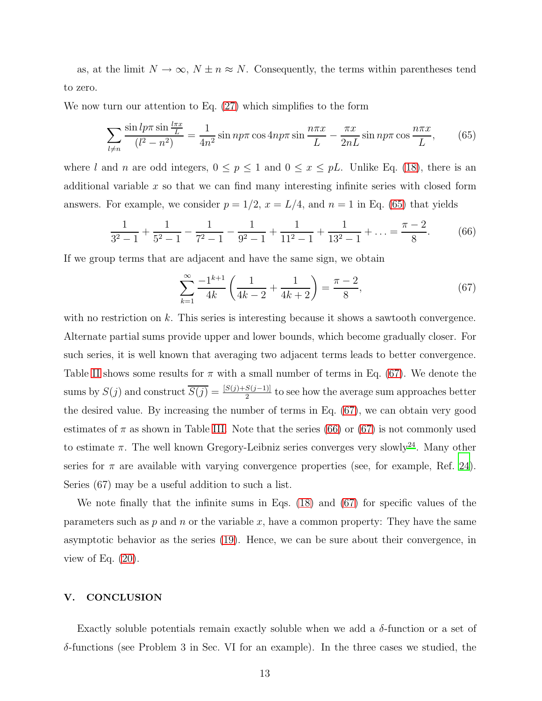as, at the limit  $N \to \infty$ ,  $N \pm n \approx N$ . Consequently, the terms within parentheses tend to zero.

We now turn our attention to Eq. [\(27\)](#page-5-0) which simplifies to the form

<span id="page-12-0"></span>
$$
\sum_{l \neq n} \frac{\sin l p \pi \sin \frac{l \pi x}{L}}{(l^2 - n^2)} = \frac{1}{4n^2} \sin n p \pi \cos 4n p \pi \sin \frac{n \pi x}{L} - \frac{\pi x}{2nL} \sin n p \pi \cos \frac{n \pi x}{L},\qquad(65)
$$

where l and n are odd integers,  $0 \le p \le 1$  and  $0 \le x \le pL$ . Unlike Eq. [\(18\)](#page-4-1), there is an additional variable  $x$  so that we can find many interesting infinite series with closed form answers. For example, we consider  $p = 1/2$ ,  $x = L/4$ , and  $n = 1$  in Eq. [\(65\)](#page-12-0) that yields

<span id="page-12-2"></span>
$$
\frac{1}{3^2 - 1} + \frac{1}{5^2 - 1} - \frac{1}{7^2 - 1} - \frac{1}{9^2 - 1} + \frac{1}{11^2 - 1} + \frac{1}{13^2 - 1} + \dots = \frac{\pi - 2}{8}.
$$
 (66)

If we group terms that are adjacent and have the same sign, we obtain

<span id="page-12-1"></span>
$$
\sum_{k=1}^{\infty} \frac{-1^{k+1}}{4k} \left( \frac{1}{4k-2} + \frac{1}{4k+2} \right) = \frac{\pi - 2}{8},\tag{67}
$$

with no restriction on  $k$ . This series is interesting because it shows a sawtooth convergence. Alternate partial sums provide upper and lower bounds, which become gradually closer. For such series, it is well known that averaging two adjacent terms leads to better convergence. Table [II](#page-17-1) shows some results for  $\pi$  with a small number of terms in Eq. [\(67\)](#page-12-1). We denote the sums by  $S(j)$  and construct  $\overline{S(j)} = \frac{[S(j) + S(j-1)]}{2}$  to see how the average sum approaches better the desired value. By increasing the number of terms in Eq. [\(67\)](#page-12-1), we can obtain very good estimates of  $\pi$  as shown in Table [III.](#page-18-0) Note that the series [\(66\)](#page-12-2) or [\(67\)](#page-12-1) is not commonly used to estimate  $\pi$ . The well known Gregory-Leibniz series converges very slowly<sup>[24](#page-16-0)</sup>. Many other series for  $\pi$  are available with varying convergence properties (see, for example, Ref. [24\)](#page-16-0). Series (67) may be a useful addition to such a list.

We note finally that the infinite sums in Eqs. [\(18\)](#page-4-1) and [\(67\)](#page-12-1) for specific values of the parameters such as p and n or the variable x, have a common property: They have the same asymptotic behavior as the series [\(19\)](#page-4-2). Hence, we can be sure about their convergence, in view of Eq.  $(20)$ .

#### V. CONCLUSION

Exactly soluble potentials remain exactly soluble when we add a  $\delta$ -function or a set of  $\delta$ -functions (see Problem 3 in Sec. VI for an example). In the three cases we studied, the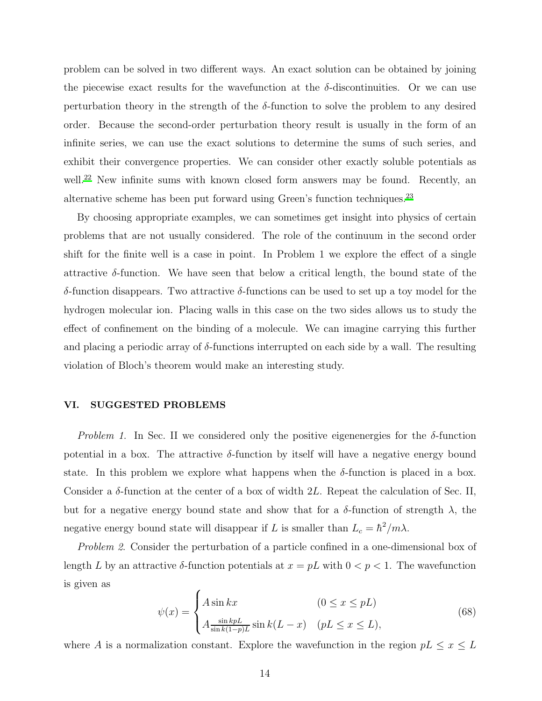problem can be solved in two different ways. An exact solution can be obtained by joining the piecewise exact results for the wavefunction at the  $\delta$ -discontinuities. Or we can use perturbation theory in the strength of the  $\delta$ -function to solve the problem to any desired order. Because the second-order perturbation theory result is usually in the form of an infinite series, we can use the exact solutions to determine the sums of such series, and exhibit their convergence properties. We can consider other exactly soluble potentials as well.<sup>[22](#page-15-14)</sup> New infinite sums with known closed form answers may be found. Recently, an alternative scheme has been put forward using Green's function techniques.[23](#page-15-15)

By choosing appropriate examples, we can sometimes get insight into physics of certain problems that are not usually considered. The role of the continuum in the second order shift for the finite well is a case in point. In Problem 1 we explore the effect of a single attractive  $\delta$ -function. We have seen that below a critical length, the bound state of the δ-function disappears. Two attractive δ-functions can be used to set up a toy model for the hydrogen molecular ion. Placing walls in this case on the two sides allows us to study the effect of confinement on the binding of a molecule. We can imagine carrying this further and placing a periodic array of  $\delta$ -functions interrupted on each side by a wall. The resulting violation of Bloch's theorem would make an interesting study.

# VI. SUGGESTED PROBLEMS

*Problem 1.* In Sec. II we considered only the positive eigenenergies for the  $\delta$ -function potential in a box. The attractive  $\delta$ -function by itself will have a negative energy bound state. In this problem we explore what happens when the  $\delta$ -function is placed in a box. Consider a  $\delta$ -function at the center of a box of width 2L. Repeat the calculation of Sec. II, but for a negative energy bound state and show that for a  $\delta$ -function of strength  $\lambda$ , the negative energy bound state will disappear if L is smaller than  $L_c = \hbar^2 / m \lambda$ .

Problem 2. Consider the perturbation of a particle confined in a one-dimensional box of length L by an attractive  $\delta$ -function potentials at  $x = pL$  with  $0 < p < 1$ . The wavefunction is given as

$$
\psi(x) = \begin{cases} A \sin kx & (0 \le x \le pL) \\ A \frac{\sin kpL}{\sin k(1-p)L} \sin k(L-x) & (pL \le x \le L), \end{cases}
$$
(68)

where A is a normalization constant. Explore the wavefunction in the region  $pL \leq x \leq L$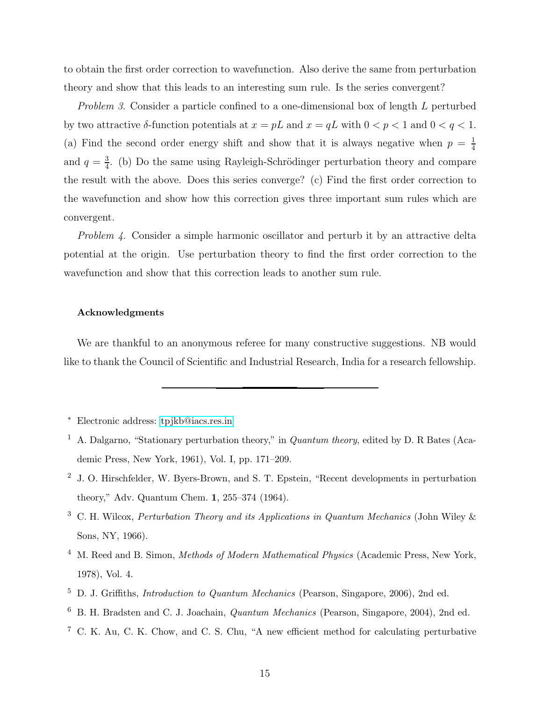to obtain the first order correction to wavefunction. Also derive the same from perturbation theory and show that this leads to an interesting sum rule. Is the series convergent?

Problem 3. Consider a particle confined to a one-dimensional box of length L perturbed by two attractive  $\delta$ -function potentials at  $x = pL$  and  $x = qL$  with  $0 < p < 1$  and  $0 < q < 1$ . (a) Find the second order energy shift and show that it is always negative when  $p = \frac{1}{4}$ 4 and  $q=\frac{3}{4}$  $\frac{3}{4}$ . (b) Do the same using Rayleigh-Schrödinger perturbation theory and compare the result with the above. Does this series converge? (c) Find the first order correction to the wavefunction and show how this correction gives three important sum rules which are convergent.

Problem 4. Consider a simple harmonic oscillator and perturb it by an attractive delta potential at the origin. Use perturbation theory to find the first order correction to the wavefunction and show that this correction leads to another sum rule.

### Acknowledgments

We are thankful to an anonymous referee for many constructive suggestions. NB would like to thank the Council of Scientific and Industrial Research, India for a research fellowship.

- <span id="page-14-2"></span><sup>2</sup> J. O. Hirschfelder, W. Byers-Brown, and S. T. Epstein, "Recent developments in perturbation theory," Adv. Quantum Chem. 1, 255–374 (1964).
- <span id="page-14-3"></span><sup>3</sup> C. H. Wilcox, Perturbation Theory and its Applications in Quantum Mechanics (John Wiley & Sons, NY, 1966).
- <span id="page-14-4"></span><sup>4</sup> M. Reed and B. Simon, *Methods of Modern Mathematical Physics* (Academic Press, New York, 1978), Vol. 4.
- <span id="page-14-5"></span><sup>5</sup> D. J. Griffiths, Introduction to Quantum Mechanics (Pearson, Singapore, 2006), 2nd ed.
- <span id="page-14-6"></span><sup>6</sup> B. H. Bradsten and C. J. Joachain, Quantum Mechanics (Pearson, Singapore, 2004), 2nd ed.
- <span id="page-14-7"></span><sup>7</sup> C. K. Au, C. K. Chow, and C. S. Chu, "A new efficient method for calculating perturbative

<span id="page-14-0"></span><sup>∗</sup> Electronic address: [tpjkb@iacs.res.in](mailto:tpjkb@iacs.res.in)

<span id="page-14-1"></span><sup>&</sup>lt;sup>1</sup> A. Dalgarno, "Stationary perturbation theory," in *Quantum theory*, edited by D. R Bates (Academic Press, New York, 1961), Vol. I, pp. 171–209.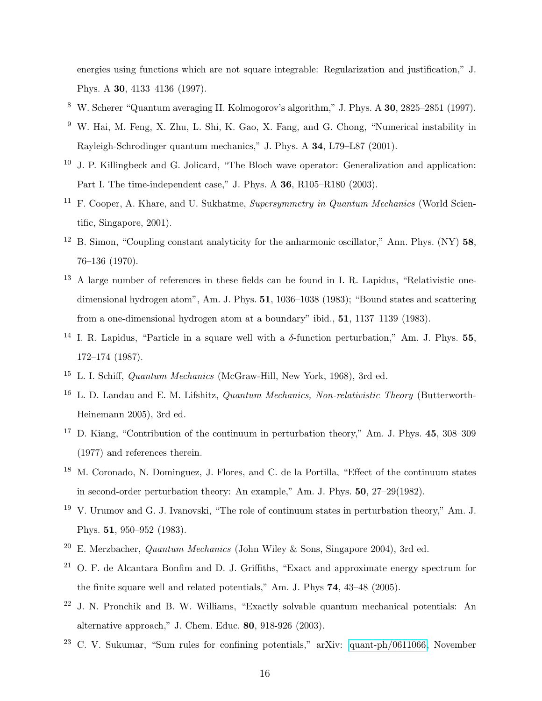energies using functions which are not square integrable: Regularization and justification," J. Phys. A 30, 4133–4136 (1997).

- <span id="page-15-0"></span><sup>8</sup> W. Scherer "Quantum averaging II. Kolmogorov's algorithm," J. Phys. A 30, 2825–2851 (1997).
- <span id="page-15-1"></span><sup>9</sup> W. Hai, M. Feng, X. Zhu, L. Shi, K. Gao, X. Fang, and G. Chong, "Numerical instability in Rayleigh-Schrodinger quantum mechanics," J. Phys. A 34, L79–L87 (2001).
- <span id="page-15-2"></span> $10$  J. P. Killingbeck and G. Jolicard, "The Bloch wave operator: Generalization and application: Part I. The time-independent case," J. Phys. A 36, R105–R180 (2003).
- <span id="page-15-3"></span><sup>11</sup> F. Cooper, A. Khare, and U. Sukhatme, *Supersymmetry in Quantum Mechanics* (World Scientific, Singapore, 2001).
- <span id="page-15-4"></span><sup>12</sup> B. Simon, "Coupling constant analyticity for the anharmonic oscillator," Ann. Phys. (NY)  $58$ , 76–136 (1970).
- <span id="page-15-5"></span><sup>13</sup> A large number of references in these fields can be found in I. R. Lapidus, "Relativistic onedimensional hydrogen atom", Am. J. Phys. **51**, 1036–1038 (1983); "Bound states and scattering from a one-dimensional hydrogen atom at a boundary" ibid., 51, 1137–1139 (1983).
- <span id="page-15-6"></span><sup>14</sup> I. R. Lapidus, "Particle in a square well with a  $\delta$ -function perturbation," Am. J. Phys. **55**, 172–174 (1987).
- <span id="page-15-7"></span><sup>15</sup> L. I. Schiff, Quantum Mechanics (McGraw-Hill, New York, 1968), 3rd ed.
- <span id="page-15-8"></span><sup>16</sup> L. D. Landau and E. M. Lifshitz, *Quantum Mechanics, Non-relativistic Theory* (Butterworth-Heinemann 2005), 3rd ed.
- <span id="page-15-9"></span><sup>17</sup> D. Kiang, "Contribution of the continuum in perturbation theory," Am. J. Phys. 45, 308–309 (1977) and references therein.
- <span id="page-15-10"></span><sup>18</sup> M. Coronado, N. Dominguez, J. Flores, and C. de la Portilla, "Effect of the continuum states in second-order perturbation theory: An example," Am. J. Phys. 50, 27–29(1982).
- <span id="page-15-11"></span><sup>19</sup> V. Urumov and G. J. Ivanovski, "The role of continuum states in perturbation theory," Am. J. Phys. 51, 950–952 (1983).
- <span id="page-15-12"></span><sup>20</sup> E. Merzbacher, *Quantum Mechanics* (John Wiley & Sons, Singapore 2004), 3rd ed.
- <span id="page-15-13"></span> $21$  O. F. de Alcantara Bonfim and D. J. Griffiths, "Exact and approximate energy spectrum for the finite square well and related potentials," Am. J. Phys 74, 43–48 (2005).
- <span id="page-15-14"></span><sup>22</sup> J. N. Pronchik and B. W. Williams, "Exactly solvable quantum mechanical potentials: An alternative approach," J. Chem. Educ. 80, 918-926 (2003).
- <span id="page-15-15"></span><sup>23</sup> C. V. Sukumar, "Sum rules for confining potentials," arXiv: [quant-ph/0611066,](http://arXiv.org/abs/quant-ph/0611066) November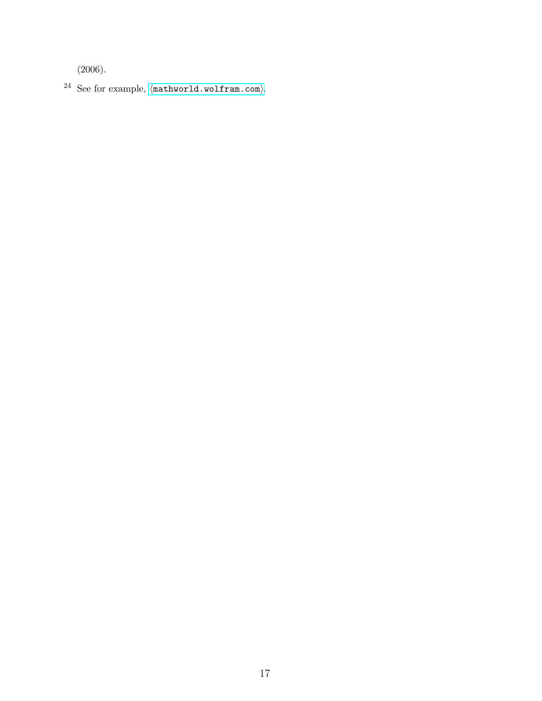(2006).

<span id="page-16-0"></span> $^{24}$  See for example,  $\langle \texttt{mathworld.wolfram.com}\rangle.$  $\langle \texttt{mathworld.wolfram.com}\rangle.$  $\langle \texttt{mathworld.wolfram.com}\rangle.$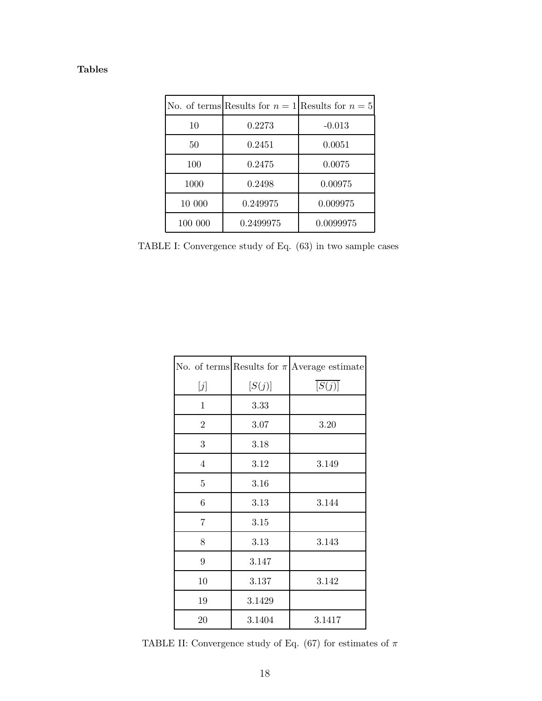| l'ables |
|---------|
|---------|

|         | No. of terms Results for $n = 1$ Results for $n = 5$ |           |
|---------|------------------------------------------------------|-----------|
| 10      | 0.2273                                               | $-0.013$  |
| 50      | 0.2451                                               | 0.0051    |
| 100     | 0.2475                                               | 0.0075    |
| 1000    | 0.2498                                               | 0.00975   |
| 10 000  | 0.249975                                             | 0.009975  |
| 100 000 | 0.2499975                                            | 0.0099975 |

<span id="page-17-0"></span>TABLE I: Convergence study of Eq. (63) in two sample cases

|                |        | No. of terms Results for $\pi$ Average estimate |
|----------------|--------|-------------------------------------------------|
| $[j]$          | [S(j)] | $\overline{[S(j)]}$                             |
| $\mathbf{1}$   | 3.33   |                                                 |
| $\overline{2}$ | 3.07   | 3.20                                            |
| 3              | 3.18   |                                                 |
| $\overline{4}$ | 3.12   | 3.149                                           |
| $\bf 5$        | 3.16   |                                                 |
| $\sqrt{6}$     | 3.13   | 3.144                                           |
| 7              | 3.15   |                                                 |
| 8              | 3.13   | 3.143                                           |
| 9              | 3.147  |                                                 |
| 10             | 3.137  | 3.142                                           |
| 19             | 3.1429 |                                                 |
| 20             | 3.1404 | 3.1417                                          |

<span id="page-17-1"></span>TABLE II: Convergence study of Eq. (67) for estimates of  $\pi$